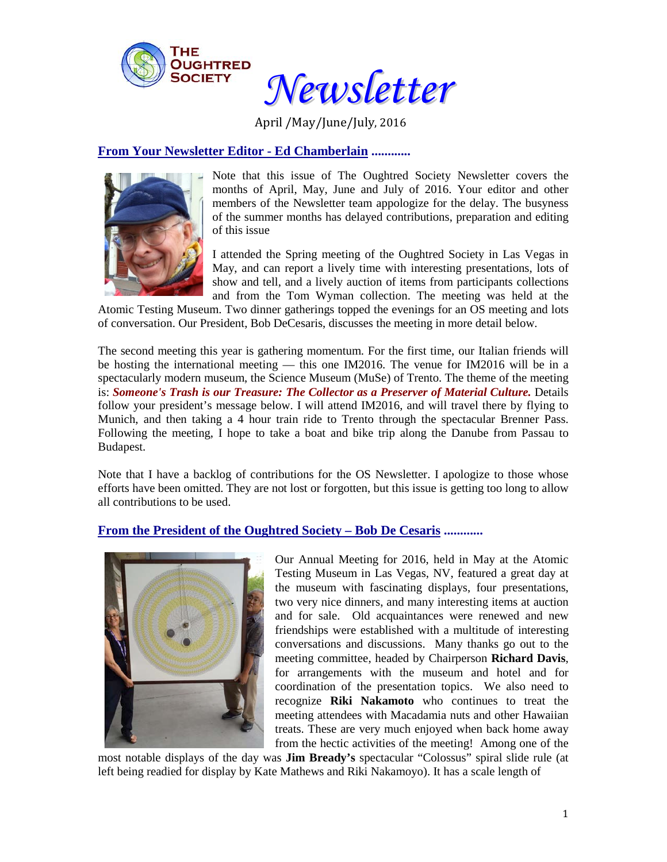

*Newsletter*

April /May/June/July, 2016

**From Your Newsletter Editor - Ed Chamberlain ............**



Note that this issue of The Oughtred Society Newsletter covers the months of April, May, June and July of 2016. Your editor and other members of the Newsletter team appologize for the delay. The busyness of the summer months has delayed contributions, preparation and editing of this issue

I attended the Spring meeting of the Oughtred Society in Las Vegas in May, and can report a lively time with interesting presentations, lots of show and tell, and a lively auction of items from participants collections and from the Tom Wyman collection. The meeting was held at the

Atomic Testing Museum. Two dinner gatherings topped the evenings for an OS meeting and lots of conversation. Our President, Bob DeCesaris, discusses the meeting in more detail below.

The second meeting this year is gathering momentum. For the first time, our Italian friends will be hosting the international meeting — this one IM2016. The venue for IM2016 will be in a spectacularly modern museum, the Science Museum (MuSe) of Trento. The theme of the meeting is: *Someone's Trash is our Treasure: The Collector as a Preserver of Material Culture.* Details follow your president's message below. I will attend IM2016, and will travel there by flying to Munich, and then taking a 4 hour train ride to Trento through the spectacular Brenner Pass. Following the meeting, I hope to take a boat and bike trip along the Danube from Passau to Budapest.

Note that I have a backlog of contributions for the OS Newsletter. I apologize to those whose efforts have been omitted. They are not lost or forgotten, but this issue is getting too long to allow all contributions to be used.

### **From the President of the Oughtred Society – Bob De Cesaris ............**



Our Annual Meeting for 2016, held in May at the Atomic Testing Museum in Las Vegas, NV, featured a great day at the museum with fascinating displays, four presentations, two very nice dinners, and many interesting items at auction and for sale. Old acquaintances were renewed and new friendships were established with a multitude of interesting conversations and discussions. Many thanks go out to the meeting committee, headed by Chairperson **Richard Davis**, for arrangements with the museum and hotel and for coordination of the presentation topics. We also need to recognize **Riki Nakamoto** who continues to treat the meeting attendees with Macadamia nuts and other Hawaiian treats. These are very much enjoyed when back home away from the hectic activities of the meeting! Among one of the

most notable displays of the day was **Jim Bready's** spectacular "Colossus" spiral slide rule (at left being readied for display by Kate Mathews and Riki Nakamoyo). It has a scale length of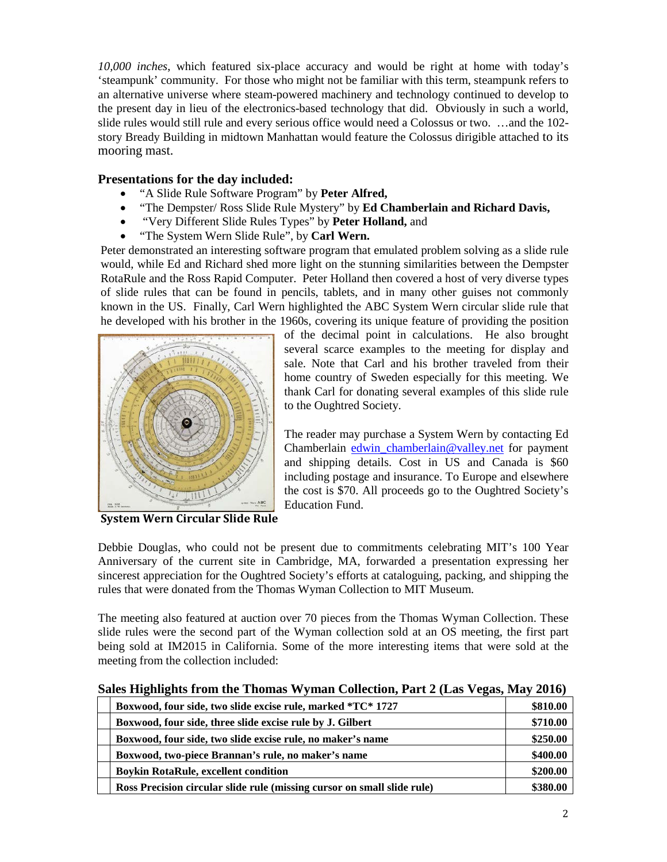*10,000 inches*, which featured six-place accuracy and would be right at home with today's 'steampunk' community. For those who might not be familiar with this term, steampunk refers to an alternative universe where steam-powered machinery and technology continued to develop to the present day in lieu of the electronics-based technology that did. Obviously in such a world, slide rules would still rule and every serious office would need a Colossus or two. …and the 102 story Bready Building in midtown Manhattan would feature the Colossus dirigible attached to its mooring mast.

### **Presentations for the day included:**

- "A Slide Rule Software Program" by **Peter Alfred,**
- "The Dempster/ Ross Slide Rule Mystery" by **Ed Chamberlain and Richard Davis,**
- "Very Different Slide Rules Types" by **Peter Holland,** and
- "The System Wern Slide Rule", by **Carl Wern.**

Peter demonstrated an interesting software program that emulated problem solving as a slide rule would, while Ed and Richard shed more light on the stunning similarities between the Dempster RotaRule and the Ross Rapid Computer. Peter Holland then covered a host of very diverse types of slide rules that can be found in pencils, tablets, and in many other guises not commonly known in the US. Finally, Carl Wern highlighted the ABC System Wern circular slide rule that he developed with his brother in the 1960s, covering its unique feature of providing the position



**System Wern Circular Slide Rule**

of the decimal point in calculations. He also brought several scarce examples to the meeting for display and sale. Note that Carl and his brother traveled from their home country of Sweden especially for this meeting. We thank Carl for donating several examples of this slide rule to the Oughtred Society.

The reader may purchase a System Wern by contacting Ed Chamberlain edwin chamberlain@valley.net for payment and shipping details. Cost in US and Canada is \$60 including postage and insurance. To Europe and elsewhere the cost is \$70. All proceeds go to the Oughtred Society's Education Fund.

Debbie Douglas, who could not be present due to commitments celebrating MIT's 100 Year Anniversary of the current site in Cambridge, MA, forwarded a presentation expressing her sincerest appreciation for the Oughtred Society's efforts at cataloguing, packing, and shipping the rules that were donated from the Thomas Wyman Collection to MIT Museum.

The meeting also featured at auction over 70 pieces from the Thomas Wyman Collection. These slide rules were the second part of the Wyman collection sold at an OS meeting, the first part being sold at IM2015 in California. Some of the more interesting items that were sold at the meeting from the collection included:

| Boxwood, four side, two slide excise rule, marked *TC* 1727             | \$810.00 |
|-------------------------------------------------------------------------|----------|
| Boxwood, four side, three slide excise rule by J. Gilbert               | \$710.00 |
| Boxwood, four side, two slide excise rule, no maker's name              | \$250.00 |
| Boxwood, two-piece Brannan's rule, no maker's name                      | \$400.00 |
| <b>Boykin RotaRule, excellent condition</b>                             | \$200.00 |
| Ross Precision circular slide rule (missing cursor on small slide rule) | \$380.00 |

#### **Sales Highlights from the Thomas Wyman Collection, Part 2 (Las Vegas, May 2016)**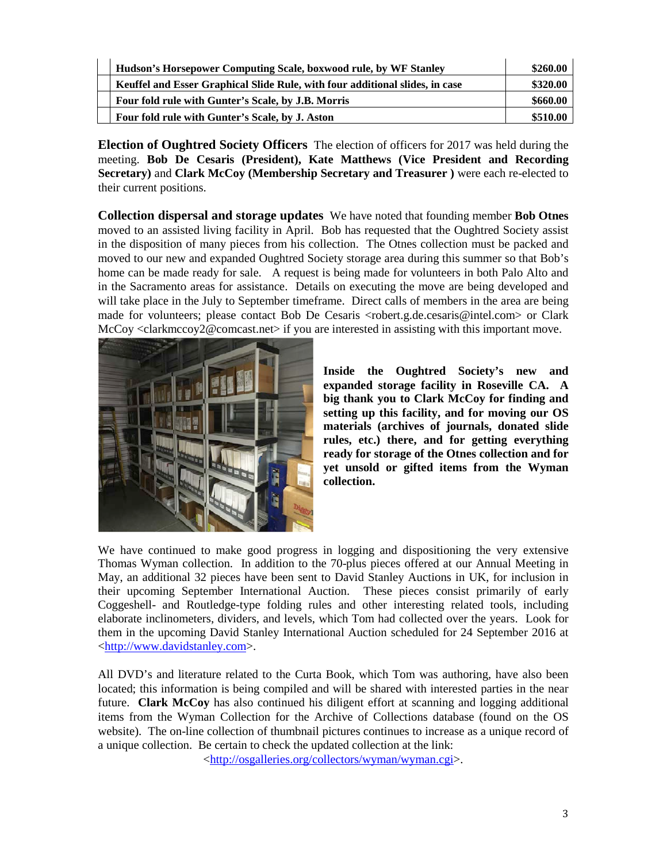| Hudson's Horsepower Computing Scale, boxwood rule, by WF Stanley             | \$260.00 |
|------------------------------------------------------------------------------|----------|
| Keuffel and Esser Graphical Slide Rule, with four additional slides, in case | \$320.00 |
| Four fold rule with Gunter's Scale, by J.B. Morris                           | \$660.00 |
| Four fold rule with Gunter's Scale, by J. Aston                              | \$510.00 |

**Election of Oughtred Society Officers** The election of officers for 2017 was held during the meeting. **Bob De Cesaris (President), Kate Matthews (Vice President and Recording Secretary)** and **Clark McCoy (Membership Secretary and Treasurer )** were each re-elected to their current positions.

**Collection dispersal and storage updates** We have noted that founding member **Bob Otnes** moved to an assisted living facility in April. Bob has requested that the Oughtred Society assist in the disposition of many pieces from his collection. The Otnes collection must be packed and moved to our new and expanded Oughtred Society storage area during this summer so that Bob's home can be made ready for sale. A request is being made for volunteers in both Palo Alto and in the Sacramento areas for assistance. Details on executing the move are being developed and will take place in the July to September timeframe. Direct calls of members in the area are being made for volunteers; please contact Bob De Cesaris [<robert.g.de.cesaris@intel.com>](mailto:robert.g.de.cesaris@intel.com) or Clark McCoy [<clarkmccoy2@comcast.net>](mailto:clarkmccoy2@comcast.net) if you are interested in assisting with this important move.



**Inside the Oughtred Society's new and expanded storage facility in Roseville CA. A big thank you to Clark McCoy for finding and setting up this facility, and for moving our OS materials (archives of journals, donated slide rules, etc.) there, and for getting everything ready for storage of the Otnes collection and for yet unsold or gifted items from the Wyman collection.**

We have continued to make good progress in logging and dispositioning the very extensive Thomas Wyman collection. In addition to the 70-plus pieces offered at our Annual Meeting in May, an additional 32 pieces have been sent to David Stanley Auctions in UK, for inclusion in their upcoming September International Auction. These pieces consist primarily of early Coggeshell- and Routledge-type folding rules and other interesting related tools, including elaborate inclinometers, dividers, and levels, which Tom had collected over the years. Look for them in the upcoming David Stanley International Auction scheduled for 24 September 2016 at [<http://www.davidstanley.com>](http://www.davidstanley.com/).

All DVD's and literature related to the Curta Book, which Tom was authoring, have also been located; this information is being compiled and will be shared with interested parties in the near future. **Clark McCoy** has also continued his diligent effort at scanning and logging additional items from the Wyman Collection for the Archive of Collections database (found on the OS website). The on-line collection of thumbnail pictures continues to increase as a unique record of a unique collection. Be certain to check the updated collection at the link:

[<http://osgalleries.org/collectors/wyman/wyman.cgi>](http://osgalleries.org/collectors/wyman/wyman.cgi).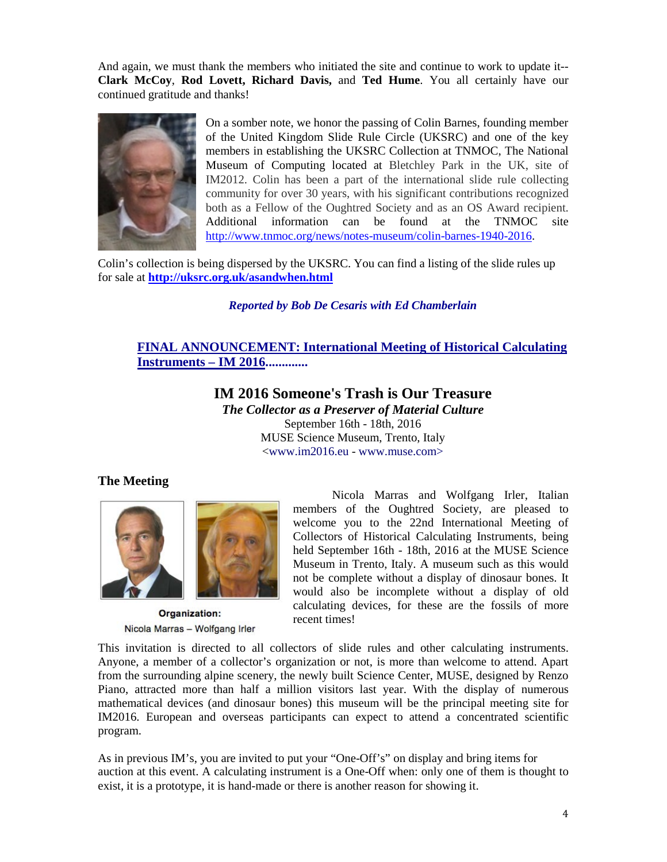And again, we must thank the members who initiated the site and continue to work to update it-- **Clark McCoy**, **Rod Lovett, Richard Davis,** and **Ted Hume**. You all certainly have our continued gratitude and thanks!



On a somber note, we honor the passing of Colin Barnes, founding member of the United Kingdom Slide Rule Circle (UKSRC) and one of the key members in establishing the UKSRC Collection at TNMOC, The National Museum of Computing located at Bletchley Park in the UK, site of IM2012. Colin has been a part of the international slide rule collecting community for over 30 years, with his significant contributions recognized both as a Fellow of the Oughtred Society and as an OS Award recipient. Additional information can be found at the TNMOC site [http://www.tnmoc.org/news/notes-museum/colin-barnes-1940-2016.](http://www.tnmoc.org/news/notes-museum/colin-barnes-1940-2016)

Colin's collection is being dispersed by the UKSRC. You can find a listing of the slide rules up for sale at **<http://uksrc.org.uk/asandwhen.html>**

## *Reported by Bob De Cesaris with Ed Chamberlain*

## **FINAL ANNOUNCEMENT: International Meeting of Historical Calculating Instruments – IM 2016.............**

# **IM 2016 Someone's Trash is Our Treasure**

*The Collector as a Preserver of Material Culture* September 16th - 18th, 2016 MUSE Science Museum, Trento, Italy <www.im2016.eu - www.muse.com>

## **The Meeting**



Organization: Nicola Marras - Wolfgang Irler

Nicola Marras and Wolfgang Irler, Italian members of the Oughtred Society, are pleased to welcome you to the 22nd International Meeting of Collectors of Historical Calculating Instruments, being held September 16th - 18th, 2016 at the MUSE Science Museum in Trento, Italy. A museum such as this would not be complete without a display of dinosaur bones. It would also be incomplete without a display of old calculating devices, for these are the fossils of more recent times!

This invitation is directed to all collectors of slide rules and other calculating instruments. Anyone, a member of a collector's organization or not, is more than welcome to attend. Apart from the surrounding alpine scenery, the newly built Science Center, MUSE, designed by Renzo Piano, attracted more than half a million visitors last year. With the display of numerous mathematical devices (and dinosaur bones) this museum will be the principal meeting site for IM2016. European and overseas participants can expect to attend a concentrated scientific program.

As in previous IM's, you are invited to put your "One-Off's" on display and bring items for auction at this event. A calculating instrument is a One-Off when: only one of them is thought to exist, it is a prototype, it is hand-made or there is another reason for showing it.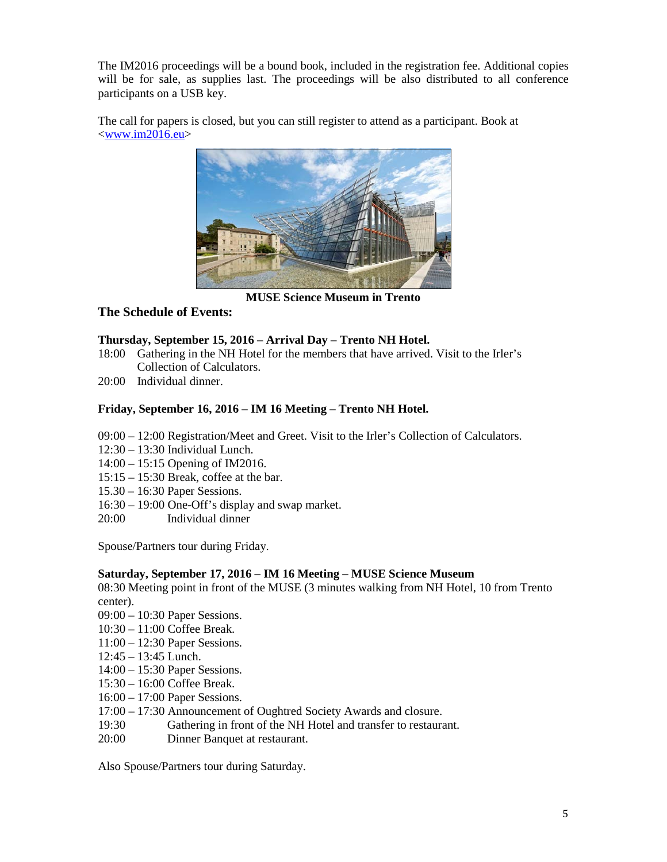The IM2016 proceedings will be a bound book, included in the registration fee. Additional copies will be for sale, as supplies last. The proceedings will be also distributed to all conference participants on a USB key.

The call for papers is closed, but you can still register to attend as a participant. Book at [<www.im2016.eu>](http://www.im2016.eu/)



**MUSE Science Museum in Trento**

**The Schedule of Events:**

#### **Thursday, September 15, 2016 – Arrival Day – Trento NH Hotel.**

- 18:00 Gathering in the NH Hotel for the members that have arrived. Visit to the Irler's Collection of Calculators.
- 20:00 Individual dinner.

#### **Friday, September 16, 2016 – IM 16 Meeting – Trento NH Hotel.**

- 09:00 12:00 Registration/Meet and Greet. Visit to the Irler's Collection of Calculators.
- 12:30 13:30 Individual Lunch.
- 14:00 15:15 Opening of IM2016.
- 15:15 15:30 Break, coffee at the bar.
- 15.30 16:30 Paper Sessions.
- 16:30 19:00 One-Off's display and swap market.
- 20:00 Individual dinner

Spouse/Partners tour during Friday.

#### **Saturday, September 17, 2016 – IM 16 Meeting – MUSE Science Museum**

08:30 Meeting point in front of the MUSE (3 minutes walking from NH Hotel, 10 from Trento center).

- 09:00 10:30 Paper Sessions.
- 10:30 11:00 Coffee Break.
- 11:00 12:30 Paper Sessions.
- 12:45 13:45 Lunch.
- 14:00 15:30 Paper Sessions.
- 15:30 16:00 Coffee Break.
- 16:00 17:00 Paper Sessions.
- 17:00 17:30 Announcement of Oughtred Society Awards and closure.
- 19:30 Gathering in front of the NH Hotel and transfer to restaurant.
- 20:00 Dinner Banquet at restaurant.

Also Spouse/Partners tour during Saturday.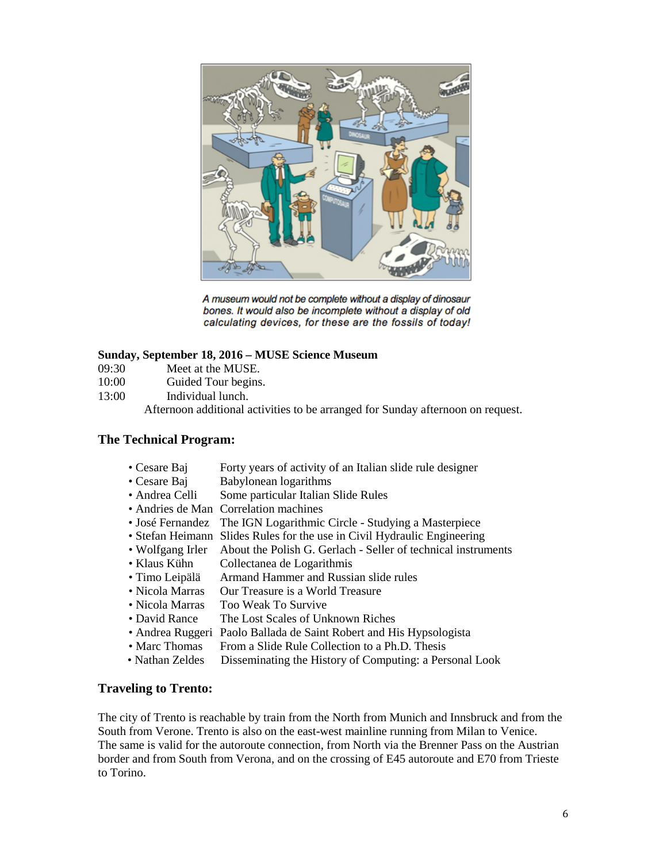

A museum would not be complete without a display of dinosaur bones. It would also be incomplete without a display of old calculating devices, for these are the fossils of today!

#### **Sunday, September 18, 2016 – MUSE Science Museum**

- 09:30 Meet at the MUSE.
- 10:00 Guided Tour begins.
- 13:00 Individual lunch.

Afternoon additional activities to be arranged for Sunday afternoon on request.

### **The Technical Program:**

- Cesare Baj Forty years of activity of an Italian slide rule designer
- Cesare Baj Babylonean logarithms
- Andrea Celli Some particular Italian Slide Rules
- Andries de Man Correlation machines
- José Fernandez The IGN Logarithmic Circle Studying a Masterpiece
- Stefan Heimann Slides Rules for the use in Civil Hydraulic Engineering
- Wolfgang Irler About the Polish G. Gerlach Seller of technical instruments
- Klaus Kühn Collectanea de Logarithmis
- Timo Leipälä Armand Hammer and Russian slide rules
- Nicola Marras Our Treasure is a World Treasure
- Nicola Marras Too Weak To Survive
- David Rance The Lost Scales of Unknown Riches
- Andrea Ruggeri Paolo Ballada de Saint Robert and His Hypsologista
- Marc Thomas From a Slide Rule Collection to a Ph.D. Thesis
- Nathan Zeldes Disseminating the History of Computing: a Personal Look

#### **Traveling to Trento:**

The city of Trento is reachable by train from the North from Munich and Innsbruck and from the South from Verone. Trento is also on the east-west mainline running from Milan to Venice. The same is valid for the autoroute connection, from North via the Brenner Pass on the Austrian border and from South from Verona, and on the crossing of E45 autoroute and E70 from Trieste to Torino.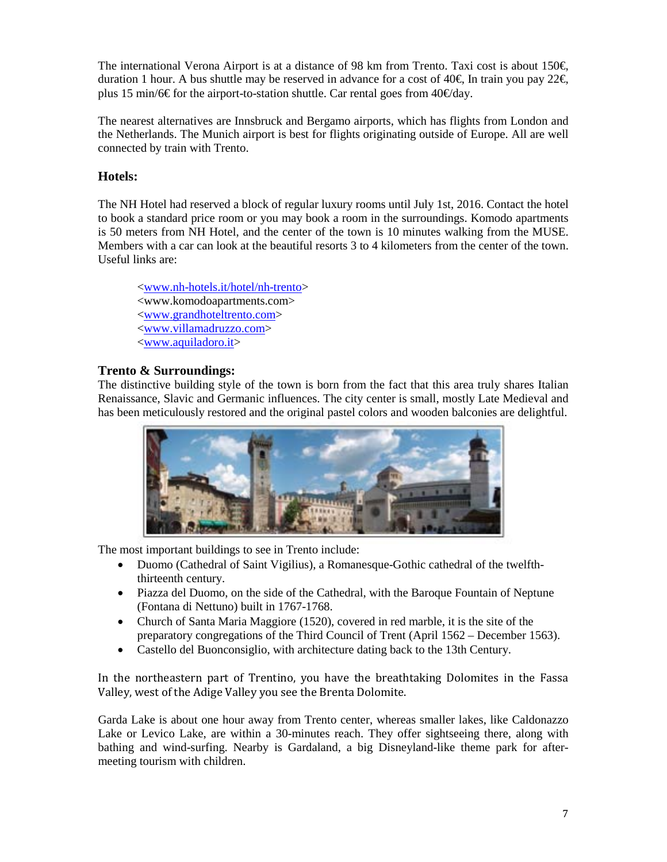The international Verona Airport is at a distance of 98 km from Trento. Taxi cost is about 150 $\in$ duration 1 hour. A bus shuttle may be reserved in advance for a cost of  $40 \in$ . In train you pay  $22 \in$ plus 15 min/6€ for the airport-to-station shuttle. Car rental goes from  $40 \text{€day}$ .

The nearest alternatives are Innsbruck and Bergamo airports, which has flights from London and the Netherlands. The Munich airport is best for flights originating outside of Europe. All are well connected by train with Trento.

## **Hotels:**

The NH Hotel had reserved a block of regular luxury rooms until July 1st, 2016. Contact the hotel to book a standard price room or you may book a room in the surroundings. Komodo apartments is 50 meters from NH Hotel, and the center of the town is 10 minutes walking from the MUSE. Members with a car can look at the beautiful resorts 3 to 4 kilometers from the center of the town. Useful links are:

[<www.nh-hotels.it/hotel/nh-trento>](http://www.nh-hotels.it/hotel/nh-trento) <www.komodoapartments.com> [<www.grandhoteltrento.com>](http://www.grandhoteltrento.com/) [<www.villamadruzzo.com>](http://www.villamadruzzo.com/) [<www.aquiladoro.it>](http://www.aquiladoro.it/)

### **Trento & Surroundings:**

The distinctive building style of the town is born from the fact that this area truly shares Italian Renaissance, Slavic and Germanic influences. The city center is small, mostly Late Medieval and has been meticulously restored and the original pastel colors and wooden balconies are delightful.



The most important buildings to see in Trento include:

- Duomo (Cathedral of Saint Vigilius), a Romanesque-Gothic cathedral of the twelfththirteenth century.
- Piazza del Duomo, on the side of the Cathedral, with the Baroque Fountain of Neptune (Fontana di Nettuno) built in 1767-1768.
- Church of Santa Maria Maggiore (1520), covered in red marble, it is the site of the preparatory congregations of the Third Council of Trent (April 1562 – December 1563).
- Castello del Buonconsiglio, with architecture dating back to the 13th Century.

In the northeastern part of Trentino, you have the breathtaking Dolomites in the Fassa Valley, west of the Adige Valley you see the Brenta Dolomite.

Garda Lake is about one hour away from Trento center, whereas smaller lakes, like Caldonazzo Lake or Levico Lake, are within a 30-minutes reach. They offer sightseeing there, along with bathing and wind-surfing. Nearby is Gardaland, a big Disneyland-like theme park for aftermeeting tourism with children.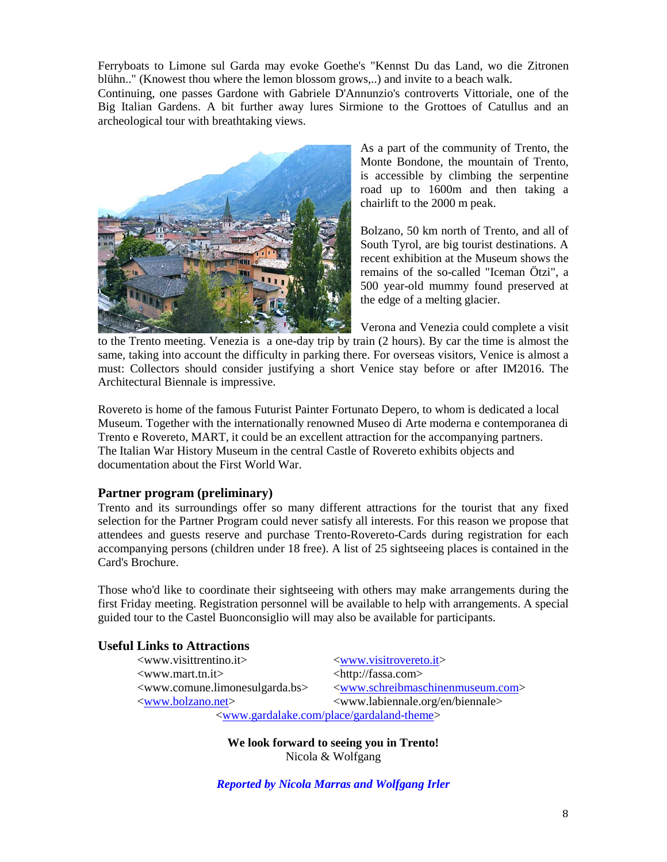Ferryboats to Limone sul Garda may evoke Goethe's "Kennst Du das Land, wo die Zitronen blühn.." (Knowest thou where the lemon blossom grows,..) and invite to a beach walk.

Continuing, one passes Gardone with Gabriele D'Annunzio's controverts Vittoriale, one of the Big Italian Gardens. A bit further away lures Sirmione to the Grottoes of Catullus and an archeological tour with breathtaking views.



As a part of the community of Trento, the Monte Bondone, the mountain of Trento, is accessible by climbing the serpentine road up to 1600m and then taking a chairlift to the 2000 m peak.

Bolzano, 50 km north of Trento, and all of South Tyrol, are big tourist destinations. A recent exhibition at the Museum shows the remains of the so-called "Iceman Ötzi", a 500 year-old mummy found preserved at the edge of a melting glacier.

Verona and Venezia could complete a visit

to the Trento meeting. Venezia is a one-day trip by train (2 hours). By car the time is almost the same, taking into account the difficulty in parking there. For overseas visitors, Venice is almost a must: Collectors should consider justifying a short Venice stay before or after IM2016. The Architectural Biennale is impressive.

Rovereto is home of the famous Futurist Painter Fortunato Depero, to whom is dedicated a local Museum. Together with the internationally renowned Museo di Arte moderna e contemporanea di Trento e Rovereto, MART, it could be an excellent attraction for the accompanying partners. The Italian War History Museum in the central Castle of Rovereto exhibits objects and documentation about the First World War.

### **Partner program (preliminary)**

Trento and its surroundings offer so many different attractions for the tourist that any fixed selection for the Partner Program could never satisfy all interests. For this reason we propose that attendees and guests reserve and purchase Trento-Rovereto-Cards during registration for each accompanying persons (children under 18 free). A list of 25 sightseeing places is contained in the Card's Brochure.

Those who'd like to coordinate their sightseeing with others may make arrangements during the first Friday meeting. Registration personnel will be available to help with arrangements. A special guided tour to the Castel Buonconsiglio will may also be available for participants.

### **Useful Links to Attractions**

<www.visittrentino.it> [<www.visitrovereto.it>](http://www.visitrovereto.it/)  $\langle$ www.mart.tn.it>  $\langle$ http://fassa.com>

<www.comune.limonesulgarda.bs> [<www.schreibmaschinenmuseum.com>](http://www.schreibmaschinenmuseum.com/) [<www.bolzano.net>](http://www.bolzano.net/) <www.labiennale.org/en/biennale> [<www.gardalake.com/place/gardaland-theme>](http://www.gardalake.com/place/gardaland-theme)

> **We look forward to seeing you in Trento!** Nicola & Wolfgang

*Reported by Nicola Marras and Wolfgang Irler*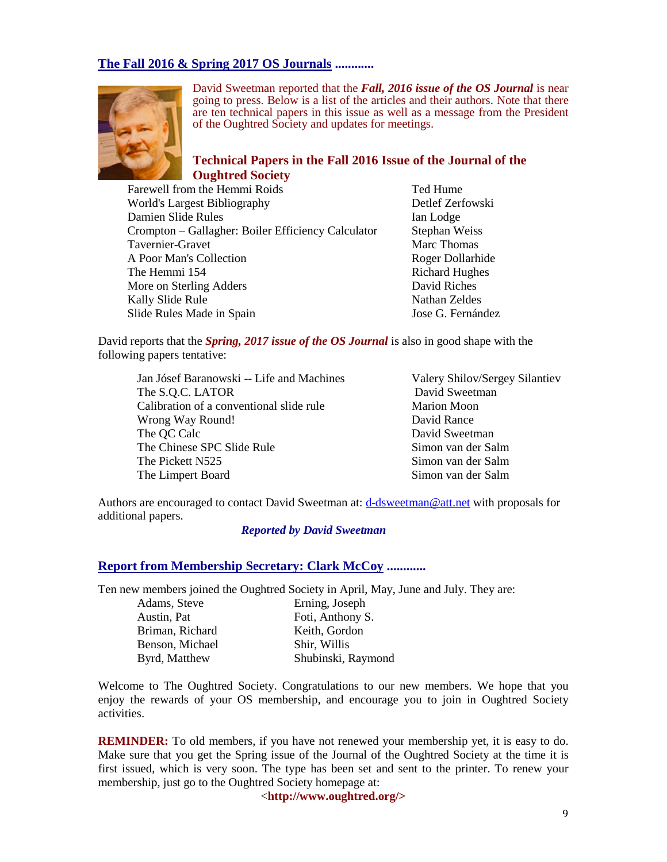#### **The Fall 2016 & Spring 2017 OS Journals ............**



David Sweetman reported that the *Fall, 2016 issue of the OS Journal* is near going to press. Below is a list of the articles and their authors. Note that there are ten technical papers in this issue as well as a message from the President of the Oughtred Society and updates for meetings.

### **Technical Papers in the Fall 2016 Issue of the Journal of the Oughtred Society**

Farewell from the Hemmi Roids Ted Hume World's Largest Bibliography Detlef Zerfowski Damien Slide Rules Ian Lodge Crompton – Gallagher: Boiler Efficiency Calculator Stephan Weiss Tavernier-Gravet and Marc Thomas Marc Thomas A Poor Man's Collection Roger Dollarhide The Hemmi 154 Richard Hughes More on Sterling Adders David Riches Kally Slide Rule Nathan Zeldes Slide Rules Made in Spain Jose G. Fernández

David reports that the *Spring, 2017 issue of the OS Journal* is also in good shape with the following papers tentative:

Jan Jósef Baranowski -- Life and Machines Valery Shilov/Sergey Silantiev The S.O.C. LATOR David Sweetman Calibration of a conventional slide rule Marion Moon Wrong Way Round! David Rance The OC Calc David Sweetman The Chinese SPC Slide Rule Simon van der Salm The Pickett N525 Simon van der Salm The Limpert Board Simon van der Salm

Authors are encouraged to contact David Sweetman at[: d-dsweetman@att.net](mailto:d-dsweetman@att.net) with proposals for additional papers.

#### *Reported by David Sweetman*

#### **Report from Membership Secretary: Clark McCoy ............**

Ten new members joined the Oughtred Society in April, May, June and July. They are:

| Adams, Steve    | Erning, Joseph     |  |
|-----------------|--------------------|--|
| Austin, Pat     | Foti, Anthony S.   |  |
| Briman, Richard | Keith, Gordon      |  |
| Benson, Michael | Shir, Willis       |  |
| Byrd, Matthew   | Shubinski, Raymond |  |
|                 |                    |  |

Welcome to The Oughtred Society. Congratulations to our new members. We hope that you enjoy the rewards of your OS membership, and encourage you to join in Oughtred Society activities.

**REMINDER:** To old members, if you have not renewed your membership yet, it is easy to do. Make sure that you get the Spring issue of the Journal of the Oughtred Society at the time it is first issued, which is very soon. The type has been set and sent to the printer. To renew your membership, just go to the Oughtred Society homepage at:

<**http://www.oughtred.org/>**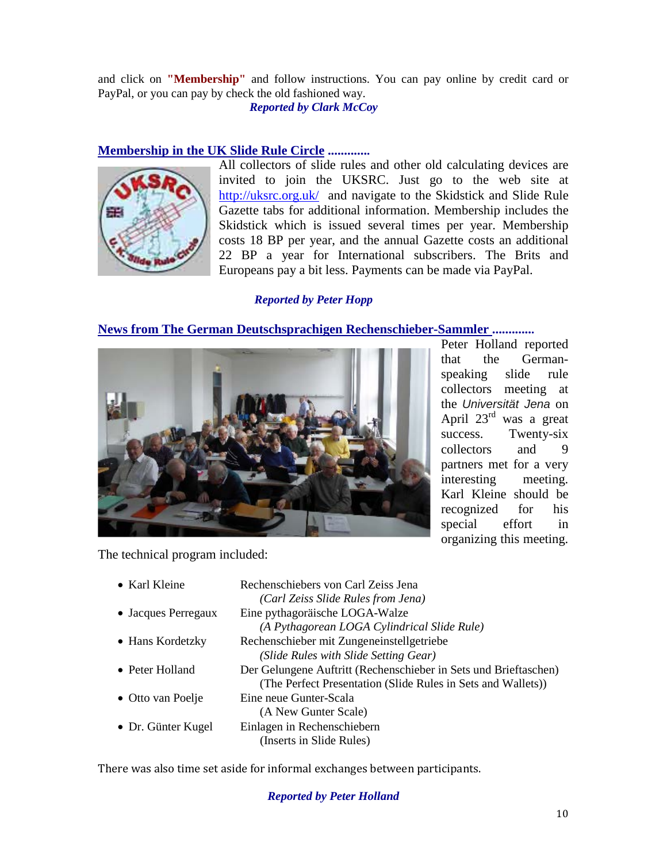and click on **"Membership"** and follow instructions. You can pay online by credit card or PayPal, or you can pay by check the old fashioned way.

*Reported by Clark McCoy*

## **Membership in the UK Slide Rule Circle .............**



All collectors of slide rules and other old calculating devices are invited to join the UKSRC. Just go to the web site at <http://uksrc.org.uk/>and navigate to the Skidstick and Slide Rule Gazette tabs for additional information. Membership includes the Skidstick which is issued several times per year. Membership costs 18 BP per year, and the annual Gazette costs an additional 22 BP a year for International subscribers. The Brits and Europeans pay a bit less. Payments can be made via PayPal.

## *Reported by Peter Hopp*

### **News from The German Deutschsprachigen Rechenschieber-Sammler .............**



Peter Holland reported that the Germanspeaking slide rule collectors meeting at the *Universität Jena* on April 23rd was a great success. Twenty-six collectors and 9 partners met for a very interesting meeting. Karl Kleine should be recognized for his special effort in organizing this meeting.

The technical program included:

| • Karl Kleine       | Rechenschiebers von Carl Zeiss Jena                              |
|---------------------|------------------------------------------------------------------|
|                     | (Carl Zeiss Slide Rules from Jena)                               |
| • Jacques Perregaux | Eine pythagoräische LOGA-Walze                                   |
|                     | (A Pythagorean LOGA Cylindrical Slide Rule)                      |
| • Hans Kordetzky    | Rechenschieber mit Zungeneinstellgetriebe                        |
|                     | (Slide Rules with Slide Setting Gear)                            |
| • Peter Holland     | Der Gelungene Auftritt (Rechenschieber in Sets und Brieftaschen) |
|                     | (The Perfect Presentation (Slide Rules in Sets and Wallets))     |
| • Otto van Poelje   | Eine neue Gunter-Scala                                           |
|                     | (A New Gunter Scale)                                             |
| • Dr. Günter Kugel  | Einlagen in Rechenschiebern                                      |
|                     | (Inserts in Slide Rules)                                         |
|                     |                                                                  |

There was also time set aside for informal exchanges between participants.

### *Reported by Peter Holland*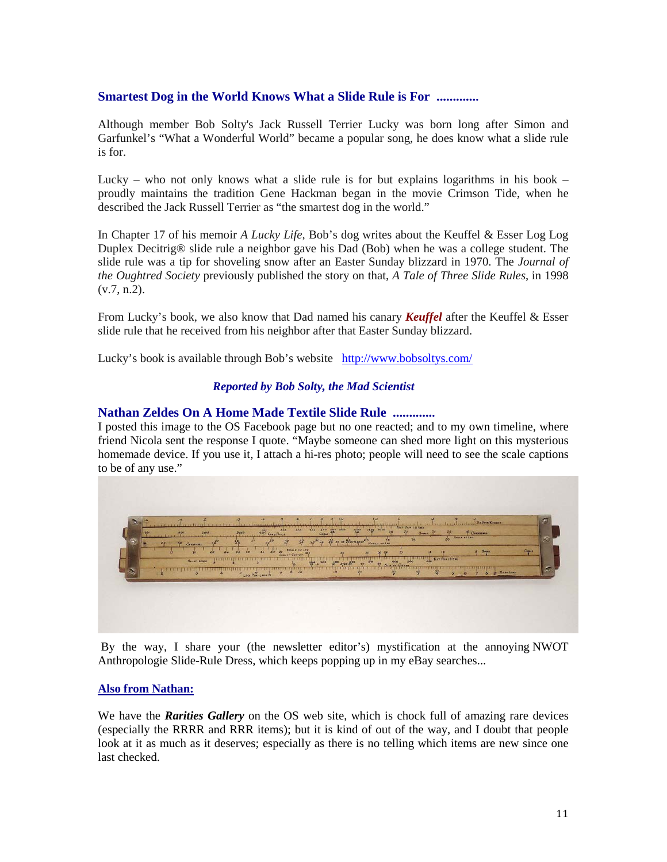## **Smartest Dog in the World Knows What a Slide Rule is For .............**

Although member Bob Solty's Jack Russell Terrier Lucky was born long after Simon and Garfunkel's "What a Wonderful World" became a popular song, he does know what a slide rule is for.

Lucky – who not only knows what a slide rule is for but explains logarithms in his book – proudly maintains the tradition Gene Hackman began in the movie Crimson Tide, when he described the Jack Russell Terrier as "the smartest dog in the world."

In Chapter 17 of his memoir *A Lucky Life*, Bob's dog writes about the Keuffel & Esser Log Log Duplex Decitrig® slide rule a neighbor gave his Dad (Bob) when he was a college student. The slide rule was a tip for shoveling snow after an Easter Sunday blizzard in 1970. The *Journal of the Oughtred Society* previously published the story on that, *A Tale of Three Slide Rules*, in 1998  $(v.7, n.2)$ .

From Lucky's book, we also know that Dad named his canary *Keuffel* after the Keuffel & Esser slide rule that he received from his neighbor after that Easter Sunday blizzard.

Lucky's book is available through Bob's website <http://www.bobsoltys.com/>

### *Reported by Bob Solty, the Mad Scientist*

#### **Nathan Zeldes On A Home Made Textile Slide Rule .............**

I posted this image to the OS Facebook page but no one reacted; and to my own timeline, where friend Nicola sent the response I quote. "Maybe someone can shed more light on this mysterious homemade device. If you use it, I attach a hi-res photo; people will need to see the scale captions to be of any use."



By the way, I share your (the newsletter editor's) mystification at the annoying NWOT Anthropologie Slide-Rule Dress, which keeps popping up in my eBay searches...

#### **Also from Nathan:**

We have the *Rarities Gallery* on the OS web site, which is chock full of amazing rare devices (especially the RRRR and RRR items); but it is kind of out of the way, and I doubt that people look at it as much as it deserves; especially as there is no telling which items are new since one last checked.